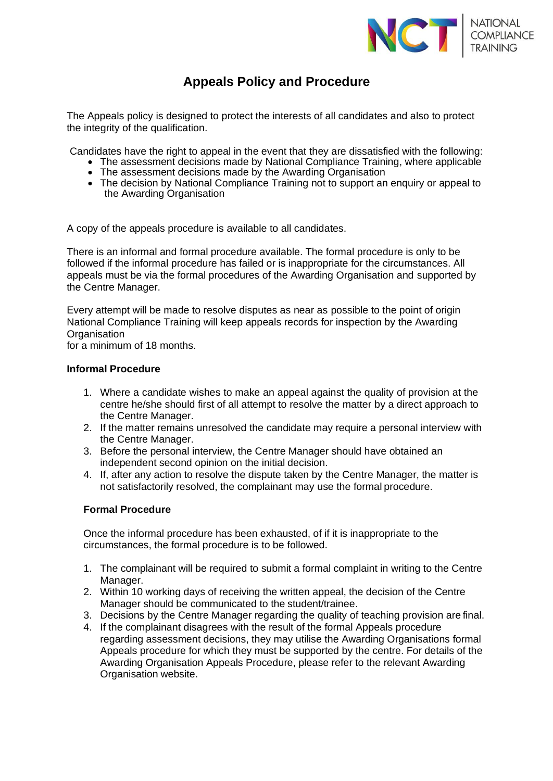

## **Appeals Policy and Procedure**

The Appeals policy is designed to protect the interests of all candidates and also to protect the integrity of the qualification.

Candidates have the right to appeal in the event that they are dissatisfied with the following:

- The assessment decisions made by National Compliance Training, where applicable
- The assessment decisions made by the Awarding Organisation
- The decision by National Compliance Training not to support an enquiry or appeal to the Awarding Organisation

A copy of the appeals procedure is available to all candidates.

There is an informal and formal procedure available. The formal procedure is only to be followed if the informal procedure has failed or is inappropriate for the circumstances. All appeals must be via the formal procedures of the Awarding Organisation and supported by the Centre Manager.

Every attempt will be made to resolve disputes as near as possible to the point of origin National Compliance Training will keep appeals records for inspection by the Awarding **Organisation** 

for a minimum of 18 months.

## **Informal Procedure**

- 1. Where a candidate wishes to make an appeal against the quality of provision at the centre he/she should first of all attempt to resolve the matter by a direct approach to the Centre Manager.
- 2. If the matter remains unresolved the candidate may require a personal interview with the Centre Manager.
- 3. Before the personal interview, the Centre Manager should have obtained an independent second opinion on the initial decision.
- 4. If, after any action to resolve the dispute taken by the Centre Manager, the matter is not satisfactorily resolved, the complainant may use the formal procedure.

## **Formal Procedure**

Once the informal procedure has been exhausted, of if it is inappropriate to the circumstances, the formal procedure is to be followed.

- 1. The complainant will be required to submit a formal complaint in writing to the Centre Manager.
- 2. Within 10 working days of receiving the written appeal, the decision of the Centre Manager should be communicated to the student/trainee.
- 3. Decisions by the Centre Manager regarding the quality of teaching provision are final.
- 4. If the complainant disagrees with the result of the formal Appeals procedure regarding assessment decisions, they may utilise the Awarding Organisations formal Appeals procedure for which they must be supported by the centre. For details of the Awarding Organisation Appeals Procedure, please refer to the relevant Awarding Organisation website.